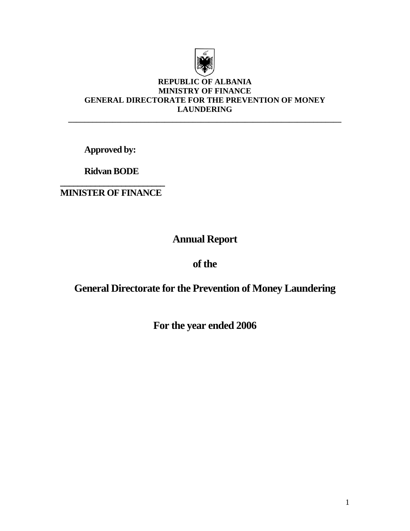

### **REPUBLIC OF ALBANIA MINISTRY OF FINANCE GENERAL DIRECTORATE FOR THE PREVENTION OF MONEY LAUNDERING**

**\_\_\_\_\_\_\_\_\_\_\_\_\_\_\_\_\_\_\_\_\_\_\_\_\_\_\_\_\_\_\_\_\_\_\_\_\_\_\_\_\_\_\_\_\_\_\_\_\_\_\_\_\_\_\_\_\_\_\_\_\_\_\_\_\_\_\_\_** 

**Approved by:** 

**Ridvan BODE** 

**\_\_\_\_\_\_\_\_\_\_\_\_\_\_\_\_\_\_\_\_\_\_\_\_ MINISTER OF FINANCE** 

**Annual Report** 

**of the** 

**General Directorate for the Prevention of Money Laundering** 

**For the year ended 2006**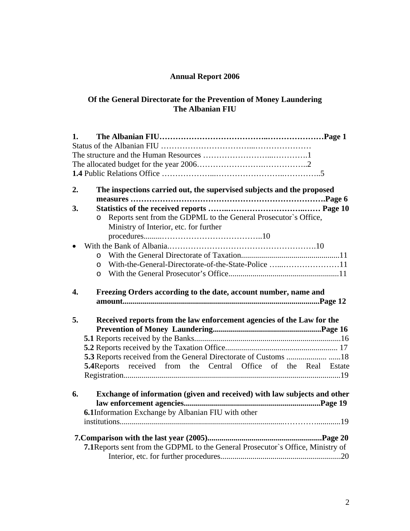# **Annual Report 2006**

#### **Of the General Directorate for the Prevention of Money Laundering The Albanian FIU**

| 1. |                                                                                 |
|----|---------------------------------------------------------------------------------|
|    |                                                                                 |
|    |                                                                                 |
|    |                                                                                 |
|    |                                                                                 |
|    |                                                                                 |
| 2. | The inspections carried out, the supervised subjects and the proposed           |
|    |                                                                                 |
| 3. |                                                                                 |
|    | Reports sent from the GDPML to the General Prosecutor's Office,<br>$\circ$      |
|    | Ministry of Interior, etc. for further                                          |
|    |                                                                                 |
|    |                                                                                 |
|    | $\circ$                                                                         |
|    | With-the-General-Directorate-of-the-State-Police 11<br>$\Omega$                 |
|    | $\Omega$                                                                        |
|    |                                                                                 |
| 4. | Freezing Orders according to the date, account number, name and                 |
|    |                                                                                 |
| 5. |                                                                                 |
|    | Received reports from the law enforcement agencies of the Law for the           |
|    |                                                                                 |
|    |                                                                                 |
|    |                                                                                 |
|    |                                                                                 |
|    |                                                                                 |
|    | 5.4 Reports received from the Central Office of the Real Estate                 |
|    |                                                                                 |
|    |                                                                                 |
| 6. | Exchange of information (given and received) with law subjects and other        |
|    |                                                                                 |
|    | 6.1Information Exchange by Albanian FIU with other                              |
|    |                                                                                 |
|    |                                                                                 |
|    | 7.1 Reports sent from the GDPML to the General Prosecutor's Office, Ministry of |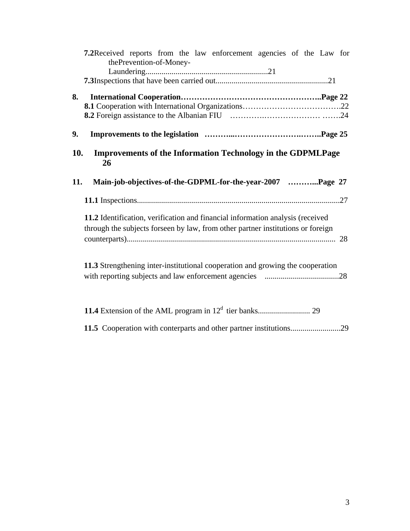|     | 7.2Received reports from the law enforcement agencies of the Law for<br>thePrevention-of-Money- |
|-----|-------------------------------------------------------------------------------------------------|
|     |                                                                                                 |
| 8.  |                                                                                                 |
| 9.  |                                                                                                 |
| 10. | <b>Improvements of the Information Technology in the GDPMLPage</b><br>26                        |
| 11. | Main-job-objectives-of-the-GDPML-for-the-year-2007 Page 27                                      |
|     |                                                                                                 |
|     | 11.2 Identification, verification and financial information analysis (received                  |
|     | through the subjects forseen by law, from other partner institutions or foreign                 |
|     | 11.3 Strengthening inter-institutional cooperation and growing the cooperation                  |
|     |                                                                                                 |
|     |                                                                                                 |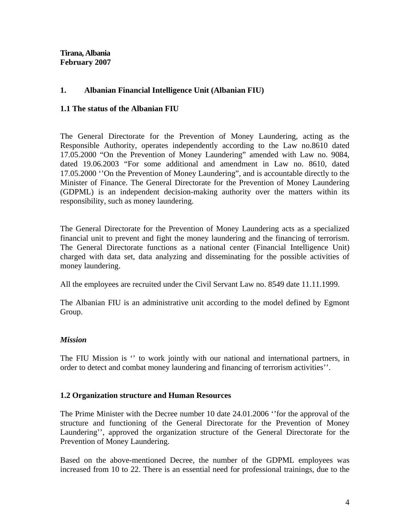**Tirana, Albania February 2007** 

#### **1. Albanian Financial Intelligence Unit (Albanian FIU)**

#### **1.1 The status of the Albanian FIU**

The General Directorate for the Prevention of Money Laundering, acting as the Responsible Authority, operates independently according to the Law no.8610 dated 17.05.2000 "On the Prevention of Money Laundering" amended with Law no. 9084, dated 19.06.2003 "For some additional and amendment in Law no. 8610, dated 17.05.2000 ''On the Prevention of Money Laundering", and is accountable directly to the Minister of Finance. The General Directorate for the Prevention of Money Laundering (GDPML) is an independent decision-making authority over the matters within its responsibility, such as money laundering.

The General Directorate for the Prevention of Money Laundering acts as a specialized financial unit to prevent and fight the money laundering and the financing of terrorism. The General Directorate functions as a national center (Financial Intelligence Unit) charged with data set, data analyzing and disseminating for the possible activities of money laundering.

All the employees are recruited under the Civil Servant Law no. 8549 date 11.11.1999.

The Albanian FIU is an administrative unit according to the model defined by Egmont Group.

#### *Mission*

The FIU Mission is " to work jointly with our national and international partners, in order to detect and combat money laundering and financing of terrorism activities''.

#### **1.2 Organization structure and Human Resources**

The Prime Minister with the Decree number 10 date 24.01.2006 ''for the approval of the structure and functioning of the General Directorate for the Prevention of Money Laundering'', approved the organization structure of the General Directorate for the Prevention of Money Laundering.

Based on the above-mentioned Decree, the number of the GDPML employees was increased from 10 to 22. There is an essential need for professional trainings, due to the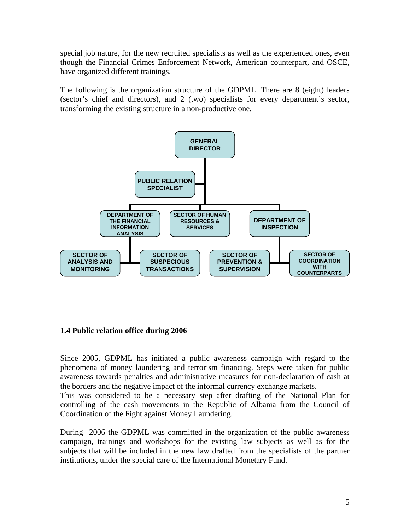special job nature, for the new recruited specialists as well as the experienced ones, even though the Financial Crimes Enforcement Network, American counterpart, and OSCE, have organized different trainings.

The following is the organization structure of the GDPML. There are 8 (eight) leaders (sector's chief and directors), and 2 (two) specialists for every department's sector, transforming the existing structure in a non-productive one.



#### **1.4 Public relation office during 2006**

Since 2005, GDPML has initiated a public awareness campaign with regard to the phenomena of money laundering and terrorism financing. Steps were taken for public awareness towards penalties and administrative measures for non-declaration of cash at the borders and the negative impact of the informal currency exchange markets.

This was considered to be a necessary step after drafting of the National Plan for controlling of the cash movements in the Republic of Albania from the Council of Coordination of the Fight against Money Laundering.

During 2006 the GDPML was committed in the organization of the public awareness campaign, trainings and workshops for the existing law subjects as well as for the subjects that will be included in the new law drafted from the specialists of the partner institutions, under the special care of the International Monetary Fund.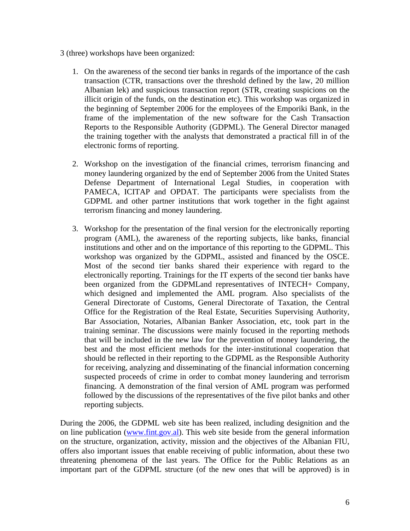- 3 (three) workshops have been organized:
	- 1. On the awareness of the second tier banks in regards of the importance of the cash transaction (CTR, transactions over the threshold defined by the law, 20 million Albanian lek) and suspicious transaction report (STR, creating suspicions on the illicit origin of the funds, on the destination etc). This workshop was organized in the beginning of September 2006 for the employees of the Emporiki Bank, in the frame of the implementation of the new software for the Cash Transaction Reports to the Responsible Authority (GDPML). The General Director managed the training together with the analysts that demonstrated a practical fill in of the electronic forms of reporting.
	- 2. Workshop on the investigation of the financial crimes, terrorism financing and money laundering organized by the end of September 2006 from the United States Defense Department of International Legal Studies, in cooperation with PAMECA, ICITAP and OPDAT. The participants were specialists from the GDPML and other partner institutions that work together in the fight against terrorism financing and money laundering.
	- 3. Workshop for the presentation of the final version for the electronically reporting program (AML), the awareness of the reporting subjects, like banks, financial institutions and other and on the importance of this reporting to the GDPML. This workshop was organized by the GDPML, assisted and financed by the OSCE. Most of the second tier banks shared their experience with regard to the electronically reporting. Trainings for the IT experts of the second tier banks have been organized from the GDPMLand representatives of INTECH+ Company, which designed and implemented the AML program. Also specialists of the General Directorate of Customs, General Directorate of Taxation, the Central Office for the Registration of the Real Estate, Securities Supervising Authority, Bar Association, Notaries, Albanian Banker Association, etc, took part in the training seminar. The discussions were mainly focused in the reporting methods that will be included in the new law for the prevention of money laundering, the best and the most efficient methods for the inter-institutional cooperation that should be reflected in their reporting to the GDPML as the Responsible Authority for receiving, analyzing and disseminating of the financial information concerning suspected proceeds of crime in order to combat money laundering and terrorism financing. A demonstration of the final version of AML program was performed followed by the discussions of the representatives of the five pilot banks and other reporting subjects.

During the 2006, the GDPML web site has been realized, including designition and the on line publication ([www.fint.gov.al](http://www.fint.gov.al/)). This web site beside from the general information on the structure, organization, activity, mission and the objectives of the Albanian FIU, offers also important issues that enable receiving of public information, about these two threatening phenomena of the last years. The Office for the Public Relations as an important part of the GDPML structure (of the new ones that will be approved) is in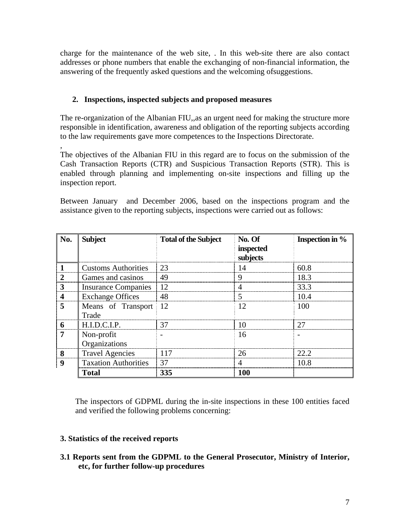charge for the maintenance of the web site, . In this web-site there are also contact addresses or phone numbers that enable the exchanging of non-financial information, the answering of the frequently asked questions and the welcoming ofsuggestions.

### **2. Inspections, inspected subjects and proposed measures**

The re-organization of the Albanian FIU,,as an urgent need for making the structure more responsible in identification, awareness and obligation of the reporting subjects according to the law requirements gave more competences to the Inspections Directorate.

, The objectives of the Albanian FIU in this regard are to focus on the submission of the Cash Transaction Reports (CTR) and Suspicious Transaction Reports (STR). This is enabled through planning and implementing on-site inspections and filling up the inspection report.

| No.                     | <b>Subject</b>              | <b>Total of the Subject</b> | No. Of<br><b>inspected</b><br>subjects | <b>Inspection in %</b> |
|-------------------------|-----------------------------|-----------------------------|----------------------------------------|------------------------|
|                         | <b>Customs Authorities</b>  | 23                          | 14                                     | 60.8                   |
| $\overline{2}$          | Games and casinos           | 49                          | 9                                      | 18.3                   |
| 3                       | <b>Insurance Companies</b>  | 12                          | 4                                      | 33.3                   |
| $\overline{\mathbf{4}}$ | <b>Exchange Offices</b>     | 48                          | 5                                      | 10.4                   |
| 5                       | Means of Transport 12       |                             | 12                                     | 100                    |
|                         | Trade                       |                             |                                        |                        |
| 6                       | H.I.D.C.I.P.                | 37                          | 10                                     | 27                     |
| 7                       | Non-profit                  |                             | 16                                     |                        |
|                         | Organizations               |                             |                                        |                        |
| 8                       | <b>Travel Agencies</b>      | 117                         | 26                                     | 22.2                   |
| 9                       | <b>Taxation Authorities</b> | 37                          | 4                                      | 10.8                   |
|                         | <b>Total</b>                | 335                         | <b>100</b>                             |                        |

Between January and December 2006, based on the inspections program and the assistance given to the reporting subjects, inspections were carried out as follows:

 The inspectors of GDPML during the in-site inspections in these 100 entities faced and verified the following problems concerning:

#### **3. Statistics of the received reports**

**3.1 Reports sent from the GDPML to the General Prosecutor, Ministry of Interior, etc, for further follow-up procedures**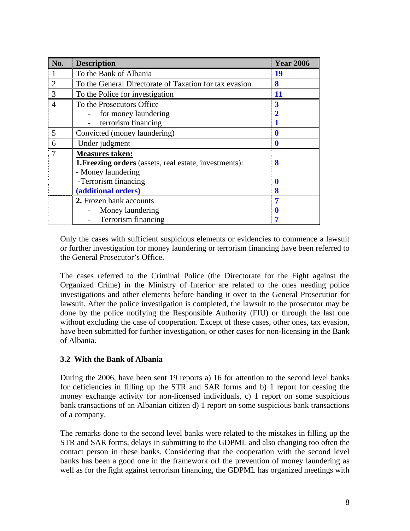| No.            | <b>Description</b>                                            | <b>Year 2006</b> |
|----------------|---------------------------------------------------------------|------------------|
|                | To the Bank of Albania                                        | 19               |
| $\overline{2}$ | To the General Directorate of Taxation for tax evasion        | 8                |
| 3              | To the Police for investigation                               | 11               |
| 4              | To the Prosecutors Office                                     | 3                |
|                | for money laundering                                          |                  |
|                | terrorism financing                                           |                  |
| 5              | Convicted (money laundering)                                  | $\mathbf 0$      |
| 6              | Under judgment                                                | 0                |
| 7              | <b>Measures taken:</b>                                        |                  |
|                | <b>1. Freezing orders</b> (assets, real estate, investments): | 8                |
|                | - Money laundering                                            |                  |
|                | -Terrorism financing                                          |                  |
|                | (additional orders)                                           | 8                |
|                | 2. Frozen bank accounts                                       |                  |
|                | Money laundering                                              |                  |
|                | Terrorism financing                                           |                  |

Only the cases with sufficient suspicious elements or evidencies to commence a lawsuit or further investigation for money laundering or terrorism financing have been referred to the General Prosecutor's Office.

The cases referred to the Criminal Police (the Directorate for the Fight against the Organized Crime) in the Ministry of Interior are related to the ones needing police investigations and other elements before handing it over to the General Prosecutior for lawsuit. After the police investigation is completed, the lawsuit to the prosecutor may be done by the police notifying the Responsible Authority (FIU) or through the last one without excluding the case of cooperation. Except of these cases, other ones, tax evasion, have been submitted for further investigation, or other cases for non-licensing in the Bank of Albania.

#### **3.2 With the Bank of Albania**

During the 2006, have been sent 19 reports a) 16 for attention to the second level banks for deficiencies in filling up the STR and SAR forms and b) 1 report for ceasing the money exchange activity for non-licensed individuals, c) 1 report on some suspicious bank transactions of an Albanian citizen d) 1 report on some suspicious bank transactions of a company.

The remarks done to the second level banks were related to the mistakes in filling up the STR and SAR forms, delays in submitting to the GDPML and also changing too often the contact person in these banks. Considering that the cooperation with the second level banks has been a good one in the framework orf the prevention of money laundering as well as for the fight against terrorism financing, the GDPML has organized meetings with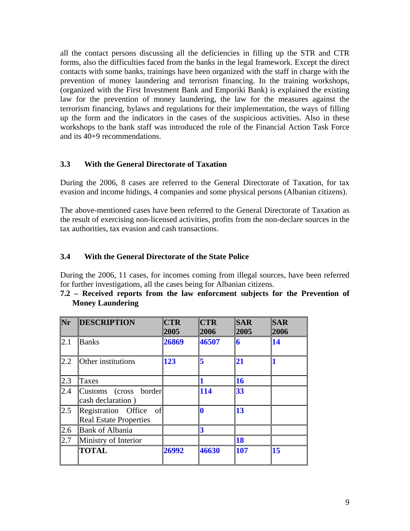all the contact persons discussing all the deficiencies in filling up the STR and CTR forms, also the difficulties faced from the banks in the legal framework. Except the direct contacts with some banks, trainings have been organized with the staff in charge with the prevention of money laundering and terrorism financing. In the training workshops, (organized with the First Investment Bank and Emporiki Bank) is explained the existing law for the prevention of money laundering, the law for the measures against the terrorism financing, bylaws and regulations for their implementation, the ways of filling up the form and the indicators in the cases of the suspicious activities. Also in these workshops to the bank staff was introduced the role of the Financial Action Task Force and its 40+9 recommendations.

### **3.3 With the General Directorate of Taxation**

During the 2006, 8 cases are referred to the General Directorate of Taxation, for tax evasion and income hidings, 4 companies and some physical persons (Albanian citizens).

The above-mentioned cases have been referred to the General Directorate of Taxation as the result of exercising non-licensed activities, profits from the non-declare sources in the tax authorities, tax evasion and cash transactions.

### **3.4 With the General Directorate of the State Police**

During the 2006, 11 cases, for incomes coming from illegal sources, have been referred for further investigations, all the cases being for Albanian citizens.

**7.2 – Received reports from the law enforcment subjects for the Prevention of Money Laundering** 

| Nr  | <b>DESCRIPTION</b>                                         | <b>CTR</b><br>2005 | <b>CTR</b><br>2006      | <b>SAR</b><br>2005 | <b>SAR</b><br>2006 |
|-----|------------------------------------------------------------|--------------------|-------------------------|--------------------|--------------------|
| 2.1 | <b>Banks</b>                                               | 26869              | 46507                   | 6                  | 14                 |
| 2.2 | Other institutions                                         | 123                | 5                       | 21                 |                    |
| 2.3 | Taxes                                                      |                    |                         | 16                 |                    |
| 2.4 | Customs (cross border<br>cash declaration)                 |                    | 114                     | 33                 |                    |
| 2.5 | Registration Office<br>of<br><b>Real Estate Properties</b> |                    | $\mathbf{0}$            | 13                 |                    |
| 2.6 | <b>Bank of Albania</b>                                     |                    | $\overline{\mathbf{3}}$ |                    |                    |
| 2.7 | Ministry of Interior                                       |                    |                         | 18                 |                    |
|     | <b>TOTAL</b>                                               | 26992              | 46630                   | 107                | 15                 |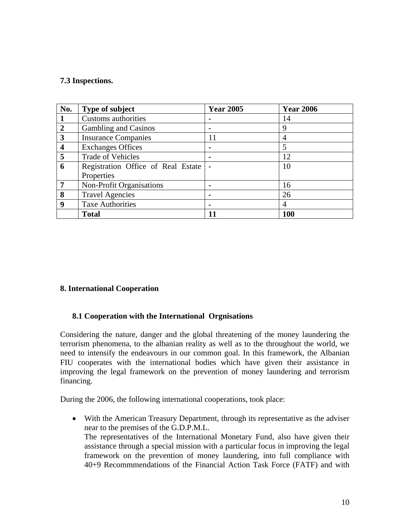#### **7.3 Inspections.**

| No.              | Type of subject                    | <b>Year 2005</b> | <b>Year 2006</b> |
|------------------|------------------------------------|------------------|------------------|
| 1                | <b>Customs authorities</b>         | $\blacksquare$   | 14               |
| $\overline{2}$   | <b>Gambling and Casinos</b>        | $\blacksquare$   | 9                |
| 3                | <b>Insurance Companies</b>         | 11               | 4                |
| $\boldsymbol{4}$ | <b>Exchanges Offices</b>           | $\blacksquare$   | 5                |
| 5                | <b>Trade of Vehicles</b>           |                  | 12               |
| 6                | Registration Office of Real Estate |                  | 10               |
|                  | Properties                         |                  |                  |
| 7                | Non-Profit Organisations           | $\blacksquare$   | 16               |
| 8                | <b>Travel Agencies</b>             | $\blacksquare$   | 26               |
| 9                | <b>Taxe Authorities</b>            | $\blacksquare$   | 4                |
|                  | <b>Total</b>                       |                  | 100              |

#### **8. International Cooperation**

#### **8.1 Cooperation with the International Orgnisations**

Considering the nature, danger and the global threatening of the money laundering the terrorism phenomena, to the albanian reality as well as to the throughout the world, we need to intensify the endeavours in our common goal. In this framework, the Albanian FIU cooperates with the international bodies which have given their assistance in improving the legal framework on the prevention of money laundering and terrorism financing.

During the 2006, the following international cooperations, took place:

• With the American Treasury Department, through its representative as the adviser near to the premises of the G.D.P.M.L. The representatives of the International Monetary Fund, also have given their assistance through a special mission with a particular focus in improving the legal framework on the prevention of money laundering, into full compliance with 40+9 Recommmendations of the Financial Action Task Force (FATF) and with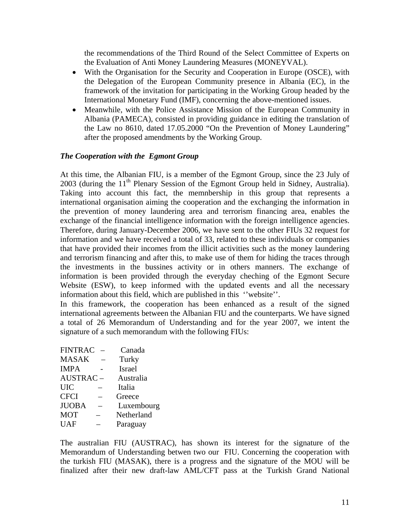the recommendations of the Third Round of the Select Committee of Experts on the Evaluation of Anti Money Laundering Measures (MONEYVAL).

- With the Organisation for the Security and Cooperation in Europe (OSCE), with the Delegation of the European Community presence in Albania (EC), in the framework of the invitation for participating in the Working Group headed by the International Monetary Fund (IMF), concerning the above-mentioned issues.
- Meanwhile, with the Police Assistance Mission of the European Community in Albania (PAMECA), consisted in providing guidance in editing the translation of the Law no 8610, dated 17.05.2000 "On the Prevention of Money Laundering" after the proposed amendments by the Working Group.

#### *The Cooperation with the Egmont Group*

At this time, the Albanian FIU, is a member of the Egmont Group, since the 23 July of 2003 (during the  $11<sup>th</sup>$  Plenary Session of the Egmont Group held in Sidney, Australia). Taking into account this fact, the memnbership in this group that represents a international organisation aiming the cooperation and the exchanging the information in the prevention of money laundering area and terrorism financing area, enables the exchange of the financial intelligence information with the foreign intelligence agencies. Therefore, during January-December 2006, we have sent to the other FIUs 32 request for information and we have received a total of 33, related to these individuals or companies that have provided their incomes from the illicit activities such as the money laundering and terrorism financing and after this, to make use of them for hiding the traces through the investments in the bussines activity or in others manners. The exchange of information is been provided through the everyday cheching of the Egmont Secure Website (ESW), to keep informed with the updated events and all the necessary information about this field, which are published in this ''website''.

In this framework, the cooperation has been enhanced as a result of the signed international agreements between the Albanian FIU and the counterparts. We have signed a total of 26 Memorandum of Understanding and for the year 2007, we intent the signature of a such memorandum with the following FIUs:

|             | Canada     |
|-------------|------------|
|             | Turky      |
|             | Israel     |
| $AUSTRAC -$ | Australia  |
|             | Italia     |
|             | Greece     |
|             | Luxembourg |
|             | Netherland |
|             | Paraguay   |
|             |            |

The australian FIU (AUSTRAC), has shown its interest for the signature of the Memorandum of Understanding betwen two our FIU. Concerning the cooperation with the turkish FIU (MASAK), there is a progress and the signature of the MOU will be finalized after their new draft-law AML/CFT pass at the Turkish Grand National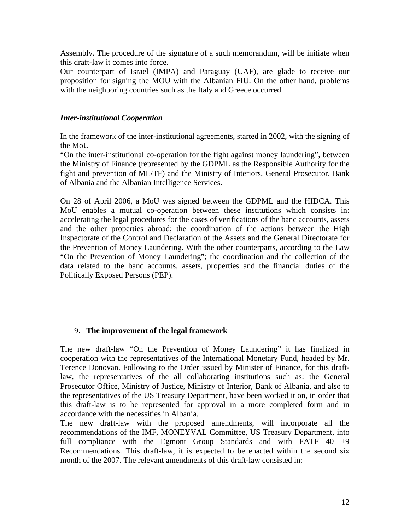Assembly**.** The procedure of the signature of a such memorandum, will be initiate when this draft-law it comes into force.

Our counterpart of Israel (IMPA) and Paraguay (UAF), are glade to receive our proposition for signing the MOU with the Albanian FIU. On the other hand, problems with the neighboring countries such as the Italy and Greece occurred.

#### *Inter-institutional Cooperation*

In the framework of the inter-institutional agreements, started in 2002, with the signing of the MoU

"On the inter-institutional co-operation for the fight against money laundering", between the Ministry of Finance (represented by the GDPML as the Responsible Authority for the fight and prevention of ML/TF) and the Ministry of Interiors, General Prosecutor, Bank of Albania and the Albanian Intelligence Services.

On 28 of April 2006, a MoU was signed between the GDPML and the HIDCA. This MoU enables a mutual co-operation between these institutions which consists in: accelerating the legal procedures for the cases of verifications of the banc accounts, assets and the other properties abroad; the coordination of the actions between the High Inspectorate of the Control and Declaration of the Assets and the General Directorate for the Prevention of Money Laundering. With the other counterparts, according to the Law "On the Prevention of Money Laundering"; the coordination and the collection of the data related to the banc accounts, assets, properties and the financial duties of the Politically Exposed Persons (PEP).

#### 9. **The improvement of the legal framework**

The new draft-law "On the Prevention of Money Laundering" it has finalized in cooperation with the representatives of the International Monetary Fund, headed by Mr. Terence Donovan. Following to the Order issued by Minister of Finance, for this draftlaw, the representatives of the all collaborating institutions such as: the General Prosecutor Office, Ministry of Justice, Ministry of Interior, Bank of Albania, and also to the representatives of the US Treasury Department, have been worked it on, in order that this draft-law is to be represented for approval in a more completed form and in accordance with the necessities in Albania.

The new draft-law with the proposed amendments, will incorporate all the recommendations of the IMF, MONEYVAL Committee, US Treasury Department, into full compliance with the Egmont Group Standards and with FATF  $40 + 9$ Recommendations. This draft-law, it is expected to be enacted within the second six month of the 2007. The relevant amendments of this draft-law consisted in: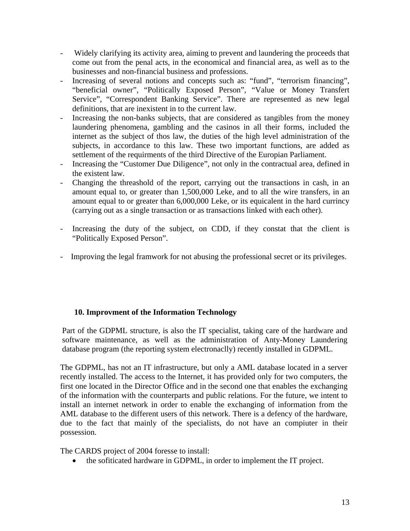- Widely clarifying its activity area, aiming to prevent and laundering the proceeds that come out from the penal acts, in the economical and financial area, as well as to the businesses and non-financial business and professions.
- Increasing of several notions and concepts such as: "fund", "terrorism financing", "beneficial owner", "Politically Exposed Person", "Value or Money Transfert Service", "Correspondent Banking Service". There are represented as new legal definitions, that are inexistent in to the current law.
- Increasing the non-banks subjects, that are considered as tangibles from the money laundering phenomena, gambling and the casinos in all their forms, included the internet as the subject of thos law, the duties of the high level administration of the subjects, in accordance to this law. These two important functions, are added as settlement of the requirments of the third Directive of the Europian Parliament.
- Increasing the "Customer Due Diligence", not only in the contractual area, defined in the existent law.
- Changing the threashold of the report, carrying out the transactions in cash, in an amount equal to, or greater than 1,500,000 Leke, and to all the wire transfers, in an amount equal to or greater than 6,000,000 Leke, or its equicalent in the hard currincy (carrying out as a single transaction or as transactions linked with each other).
- Increasing the duty of the subject, on CDD, if they constat that the client is "Politically Exposed Person".
- Improving the legal framwork for not abusing the professional secret or its privileges.

### **10. Improvment of the Information Technology**

Part of the GDPML structure, is also the IT specialist, taking care of the hardware and software maintenance, as well as the administration of Anty-Money Laundering database program (the reporting system electronaclly) recently installed in GDPML.

The GDPML, has not an IT infrastructure, but only a AML database located in a server recently installed. The access to the Internet, it has provided only for two computers, the first one located in the Director Office and in the second one that enables the exchanging of the information with the counterparts and public relations. For the future, we intent to install an internet network in order to enable the exchanging of information from the AML database to the different users of this network. There is a defency of the hardware, due to the fact that mainly of the specialists, do not have an compiuter in their possession.

The CARDS project of 2004 foresse to install:

• the sofiticated hardware in GDPML, in order to implement the IT project.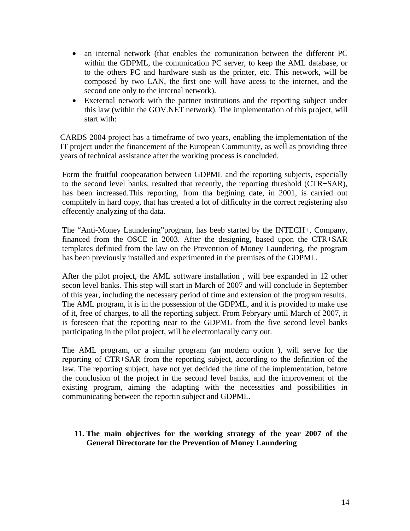- an internal network (that enables the comunication between the different PC within the GDPML, the comunication PC server, to keep the AML database, or to the others PC and hardware sush as the printer, etc. This network, will be composed by two LAN, the first one will have acess to the internet, and the second one only to the internal network).
- Exeternal network with the partner institutions and the reporting subject under this law (within the GOV.NET network). The implementation of this project, will start with:

CARDS 2004 project has a timeframe of two years, enabling the implementation of the IT project under the financement of the European Community, as well as providing three years of technical assistance after the working process is concluded.

Form the fruitful coopearation between GDPML and the reporting subjects, especially to the second level banks, resulted that recently, the reporting threshold (CTR+SAR), has been increased.This reporting, from tha begining date, in 2001, is carried out complitely in hard copy, that has created a lot of difficulty in the correct registering also effecently analyzing of tha data.

The "Anti-Money Laundering"program, has beeb started by the INTECH+, Company, financed from the OSCE in 2003. After the designing, based upon the CTR+SAR templates definied from the law on the Prevention of Money Laundering, the program has been previously installed and experimented in the premises of the GDPML.

After the pilot project, the AML software installation , will bee expanded in 12 other secon level banks. This step will start in March of 2007 and will conclude in September of this year, including the necessary period of time and extension of the program results. The AML program, it is in the possession of the GDPML, and it is provided to make use of it, free of charges, to all the reporting subject. From Febryary until March of 2007, it is foreseen that the reporting near to the GDPML from the five second level banks participating in the pilot project, will be electroniacally carry out.

The AML program, or a similar program (an modern option ), will serve for the reporting of CTR+SAR from the reporting subject, according to the definition of the law. The reporting subject, have not yet decided the time of the implementation, before the conclusion of the project in the second level banks, and the improvement of the existing program, aiming the adapting with the necessities and possibilities in communicating between the reportin subject and GDPML.

#### **11. The main objectives for the working strategy of the year 2007 of the General Directorate for the Prevention of Money Laundering**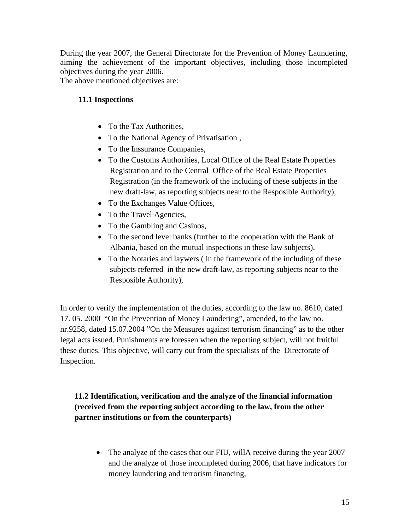During the year 2007, the General Directorate for the Prevention of Money Laundering, aiming the achievement of the important objectives, including those incompleted objectives during the year 2006.

The above mentioned objectives are:

#### **11.1 Inspections**

- To the Tax Authorities.
- To the National Agency of Privatisation,
- To the Inssurance Companies,
- To the Customs Authorities, Local Office of the Real Estate Properties Registration and to the Central Office of the Real Estate Properties Registration (in the framework of the including of these subjects in the new draft-law, as reporting subjects near to the Resposible Authority),
- To the Exchanges Value Offices,
- To the Travel Agencies,
- To the Gambling and Casinos,
- To the second level banks (further to the cooperation with the Bank of Albania, based on the mutual inspections in these law subjects),
- To the Notaries and laywers (in the framework of the including of these subjects referred in the new draft-law, as reporting subjects near to the Resposible Authority),

In order to verify the implementation of the duties, according to the law no. 8610, dated 17. 05. 2000 "On the Prevention of Money Laundering", amended, to the law no. nr.9258, dated 15.07.2004 "On the Measures against terrorism financing" as to the other legal acts issued. Punishments are foressen when the reporting subject, will not fruitful these duties. This objective, will carry out from the specialists of the Directorate of Inspection.

### **11.2 Identification, verification and the analyze of the financial information (received from the reporting subject according to the law, from the other partner institutions or from the counterparts)**

• The analyze of the cases that our FIU, will A receive during the year 2007 and the analyze of those incompleted during 2006, that have indicators for money laundering and terrorism financing,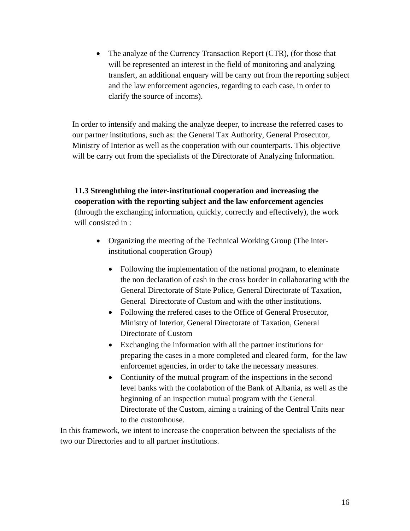• The analyze of the Currency Transaction Report (CTR), (for those that will be represented an interest in the field of monitoring and analyzing transfert, an additional enquary will be carry out from the reporting subject and the law enforcement agencies, regarding to each case, in order to clarify the source of incoms).

In order to intensify and making the analyze deeper, to increase the referred cases to our partner institutions, such as: the General Tax Authority, General Prosecutor, Ministry of Interior as well as the cooperation with our counterparts. This objective will be carry out from the specialists of the Directorate of Analyzing Information.

## **11.3 Strenghthing the inter-institutional cooperation and increasing the cooperation with the reporting subject and the law enforcement agencies**  (through the exchanging information, quickly, correctly and effectively), the work will consisted in :

- Organizing the meeting of the Technical Working Group (The interinstitutional cooperation Group)
	- Following the implementation of the national program, to eleminate the non declaration of cash in the cross border in collaborating with the General Directorate of State Police, General Directorate of Taxation, General Directorate of Custom and with the other institutions.
	- Following the rrefered cases to the Office of General Prosecutor, Ministry of Interior, General Directorate of Taxation, General Directorate of Custom
	- Exchanging the information with all the partner institutions for preparing the cases in a more completed and cleared form, for the law enforcemet agencies, in order to take the necessary measures.
	- Contiunity of the mutual program of the inspections in the second level banks with the coolabotion of the Bank of Albania, as well as the beginning of an inspection mutual program with the General Directorate of the Custom, aiming a training of the Central Units near to the customhouse.

In this framework, we intent to increase the cooperation between the specialists of the two our Directories and to all partner institutions.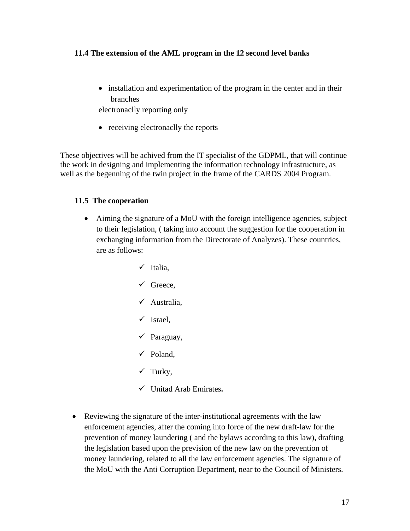#### **11.4 The extension of the AML program in the 12 second level banks**

• installation and experimentation of the program in the center and in their branches

electronaclly reporting only

• receiving electronaclly the reports

These objectives will be achived from the IT specialist of the GDPML, that will continue the work in designing and implementing the information technology infrastructure, as well as the begenning of the twin project in the frame of the CARDS 2004 Program.

#### **11.5 The cooperation**

- Aiming the signature of a MoU with the foreign intelligence agencies, subject to their legislation, ( taking into account the suggestion for the cooperation in exchanging information from the Directorate of Analyzes). These countries, are as follows:
	- $\checkmark$  Italia.
	- $\checkmark$  Greece,
	- $\checkmark$  Australia,
	- $\checkmark$  Israel,
	- $\checkmark$  Paraguay,
	- $\checkmark$  Poland,
	- $\checkmark$  Turky,
	- 9 Unitad Arab Emirates**.**
- Reviewing the signature of the inter-institutional agreements with the law enforcement agencies, after the coming into force of the new draft-law for the prevention of money laundering ( and the bylaws according to this law), drafting the legislation based upon the prevision of the new law on the prevention of money laundering, related to all the law enforcement agencies. The signature of the MoU with the Anti Corruption Department, near to the Council of Ministers.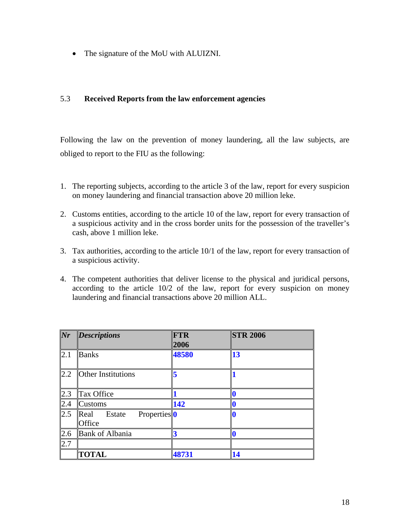• The signature of the MoU with ALUIZNI.

#### 5.3 **Received Reports from the law enforcement agencies**

Following the law on the prevention of money laundering, all the law subjects, are obliged to report to the FIU as the following:

- 1. The reporting subjects, according to the article 3 of the law, report for every suspicion on money laundering and financial transaction above 20 million leke.
- 2. Customs entities, according to the article 10 of the law, report for every transaction of a suspicious activity and in the cross border units for the possession of the traveller's cash, above 1 million leke.
- 3. Tax authorities, according to the article 10/1 of the law, report for every transaction of a suspicious activity.
- 4. The competent authorities that deliver license to the physical and juridical persons, according to the article 10/2 of the law, report for every suspicion on money laundering and financial transactions above 20 million ALL.

| Nr  | <b>Descriptions</b>                                 | <b>FTR</b><br>2006 | <b>STR 2006</b> |
|-----|-----------------------------------------------------|--------------------|-----------------|
| 2.1 | <b>Banks</b>                                        | 48580              | 13              |
| 2.2 | Other Institutions                                  |                    |                 |
| 2.3 | Tax Office                                          |                    |                 |
| 2.4 | <b>Customs</b>                                      | 142                |                 |
| 2.5 | Properties <sup>0</sup><br>Estate<br>Real<br>Office |                    |                 |
| 2.6 | <b>Bank of Albania</b>                              |                    |                 |
| 2.7 |                                                     |                    |                 |
|     | <b>TOTAL</b>                                        | 48731              | 14              |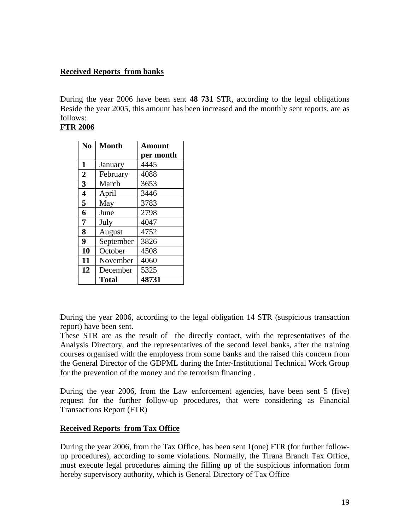#### **Received Reports from banks**

During the year 2006 have been sent **48 731** STR, according to the legal obligations Beside the year 2005, this amount has been increased and the monthly sent reports, are as follows:

### **FTR 2006**

| N <sub>o</sub>          | <b>Month</b> | <b>Amount</b> |
|-------------------------|--------------|---------------|
|                         |              | per month     |
| $\mathbf{1}$            | January      | 4445          |
| $\overline{2}$          | February     | 4088          |
| 3                       | March        | 3653          |
| $\overline{\mathbf{4}}$ | April        | 3446          |
| 5                       | May          | 3783          |
| 6                       | June         | 2798          |
| 7                       | July         | 4047          |
| 8                       | August       | 4752          |
| 9                       | September    | 3826          |
| 10                      | October      | 4508          |
| 11                      | November     | 4060          |
| 12                      | December     | 5325          |
|                         | <b>Total</b> | 48731         |

During the year 2006, according to the legal obligation 14 STR (suspicious transaction report) have been sent.

These STR are as the result of the directly contact, with the representatives of the Analysis Directory, and the representatives of the second level banks, after the training courses organised with the employess from some banks and the raised this concern from the General Director of the GDPML during the Inter-Institutional Technical Work Group for the prevention of the money and the terrorism financing .

During the year 2006, from the Law enforcement agencies, have been sent 5 (five) request for the further follow-up procedures, that were considering as Financial Transactions Report (FTR)

#### **Received Reports from Tax Office**

During the year 2006, from the Tax Office, has been sent 1(one) FTR (for further followup procedures), according to some violations. Normally, the Tirana Branch Tax Office, must execute legal procedures aiming the filling up of the suspicious information form hereby supervisory authority, which is General Directory of Tax Office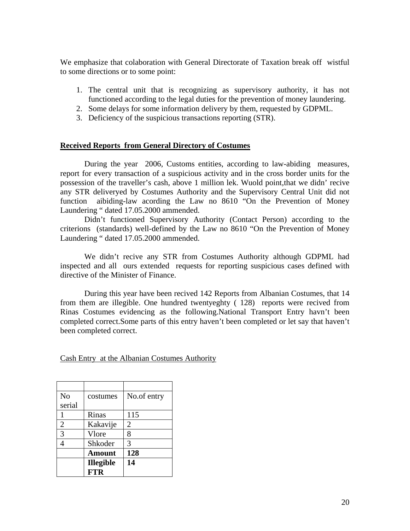We emphasize that colaboration with General Directorate of Taxation break off wistful to some directions or to some point:

- 1. The central unit that is recognizing as supervisory authority, it has not functioned according to the legal duties for the prevention of money laundering.
- 2. Some delays for some information delivery by them, requested by GDPML.
- 3. Deficiency of the suspicious transactions reporting (STR).

#### **Received Reports from General Directory of Costumes**

 During the year 2006, Customs entities, according to law-abiding measures, report for every transaction of a suspicious activity and in the cross border units for the possession of the traveller's cash, above 1 million lek. Wuold point,that we didn' recive any STR deliveryed by Costumes Authority and the Supervisory Central Unit did not function aibiding-law acording the Law no 8610 "On the Prevention of Money Laundering " dated 17.05.2000 ammended.

 Didn't functioned Supervisory Authority (Contact Person) according to the criterions (standards) well-defined by the Law no 8610 "On the Prevention of Money Laundering " dated 17.05.2000 ammended.

 We didn't recive any STR from Costumes Authority although GDPML had inspected and all ours extended requests for reporting suspicious cases defined with directive of the Minister of Finance.

 During this year have been recived 142 Reports from Albanian Costumes, that 14 from them are illegible. One hundred twentyeghty ( 128) reports were recived from Rinas Costumes evidencing as the following.National Transport Entry havn't been completed correct.Some parts of this entry haven't been completed or let say that haven't been completed correct.

Cash Entry at the Albanian Costumes Authority

| N <sub>o</sub> | costumes         | No.of entry    |
|----------------|------------------|----------------|
| serial         |                  |                |
| 1              | Rinas            | 115            |
| 2              | Kakavije         | $\overline{2}$ |
| 3              | Vlore            | 8              |
| 4              | Shkoder          | 3              |
|                | Amount           | 128            |
|                | <b>Illegible</b> | 14             |
|                | <b>FTR</b>       |                |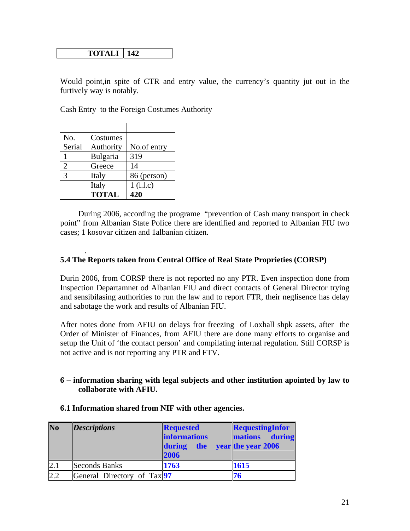### **TOTALI 142**

Would point,in spite of CTR and entry value, the currency's quantity jut out in the furtively way is notably.

Cash Entry to the Foreign Costumes Authority

| No.    | Costumes        |             |
|--------|-----------------|-------------|
| Serial | Authority       | No.of entry |
|        | <b>Bulgaria</b> | 319         |
| 2      | Greece          | 14          |
| 3      | Italy           | 86 (person) |
|        | Italy           | 1(l.l.c)    |
|        | <b>TOTAL</b>    | 420         |

.

 During 2006, according the programe "prevention of Cash many transport in check point" from Albanian State Police there are identified and reported to Albanian FIU two cases; 1 kosovar citizen and 1albanian citizen.

#### **5.4 The Reports taken from Central Office of Real State Proprieties (CORSP)**

Durin 2006, from CORSP there is not reported no any PTR. Even inspection done from Inspection Departamnet od Albanian FIU and direct contacts of General Director trying and sensibilasing authorities to run the law and to report FTR, their neglisence has delay and sabotage the work and results of Albanian FIU.

After notes done from AFIU on delays fror freezing of Loxhall shpk assets, after the Order of Minister of Finances, from AFIU there are done many efforts to organise and setup the Unit of 'the contact person' and compilating internal regulation. Still CORSP is not active and is not reporting any PTR and FTV.

#### **6 – information sharing with legal subjects and other institution apointed by law to collaborate with AFIU.**

| N <sub>0</sub> | <i>Descriptions</i>         | <b>Requested</b><br><b>informations</b><br>during the year the year 2006 | <b>RequestingInfor</b><br>during<br>mations |
|----------------|-----------------------------|--------------------------------------------------------------------------|---------------------------------------------|
| 2.1            | <b>Seconds Banks</b>        | 2006<br>1763                                                             | 1615                                        |
| 2.2            | General Directory of Tax 97 |                                                                          | 76                                          |

#### **6.1 Information shared from NIF with other agencies.**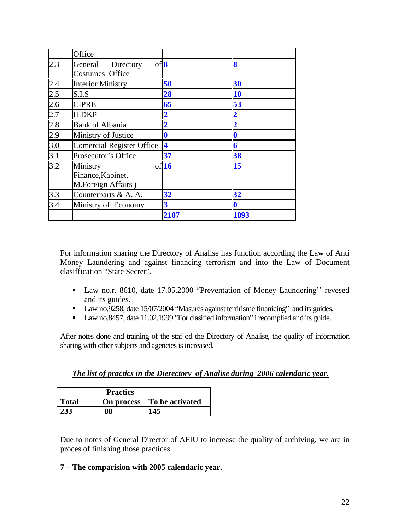|     | Office                                                        |                         |                         |
|-----|---------------------------------------------------------------|-------------------------|-------------------------|
| 2.3 | $\mathrm{of}8$<br>General Directory<br><b>Costumes Office</b> |                         | 8                       |
| 2.4 | <b>Interior Ministry</b>                                      | 50                      | 30                      |
| 2.5 | S.I.S                                                         | 28                      | 10                      |
| 2.6 | <b>CIPRE</b>                                                  | 65                      | 53                      |
| 2.7 | <b>ILDKP</b>                                                  | 2                       |                         |
| 2.8 | <b>Bank of Albania</b>                                        | $\overline{2}$          |                         |
| 2.9 | Ministry of Justice                                           | $\bf{0}$                | $\bf{0}$                |
| 3.0 | <b>Comercial Register Office</b>                              | $\overline{\mathbf{4}}$ | $\overline{\mathbf{6}}$ |
| 3.1 | Prosecutor's Office                                           | 37                      | 38                      |
| 3.2 | Ministry<br>Finance, Kabinet,<br>M.Foreign Affairs j          | of 16                   | 15                      |
| 3.3 | Counterparts & A. A.                                          | 32                      | 32                      |
| 3.4 | Ministry of Economy                                           | $\overline{\mathbf{3}}$ | $\bf{0}$                |
|     |                                                               | 2107                    | 1893                    |

For information sharing the Directory of Analise has function according the Law of Anti Money Laundering and against financing terrorism and into the Law of Document clasiffication "State Secret".

- Law no.r. 8610, date 17.05.2000 "Preventation of Money Laundering" revesed and its guides.
- Law no.9258, date 15/07/2004 "Masures against terririsme finanicing" and its guides.
- Law no.8457, date 11.02.1999 "For clasified information" i recomplied and its guide.

After notes done and training of the staf od the Directory of Analise, the quality of information sharing with other subjects and agencies is increased.

| <b>Practics</b> |    |                              |  |
|-----------------|----|------------------------------|--|
| <b>Total</b>    |    | On process   To be activated |  |
| 233             | 88 | 145                          |  |

Due to notes of General Director of AFIU to increase the quality of archiving, we are in proces of finishing those practices

#### **7 – The comparision with 2005 calendaric year.**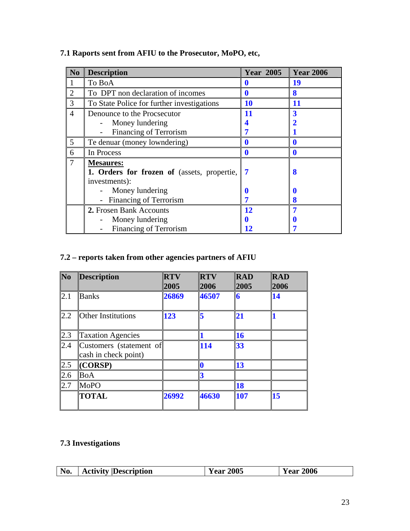| N <sub>0</sub> | <b>Description</b>                          | <b>Year 2005</b> | <b>Year 2006</b> |
|----------------|---------------------------------------------|------------------|------------------|
|                | To BoA                                      | 0                | 19               |
| $\overline{2}$ | To DPT non declaration of incomes           | $\boldsymbol{0}$ | 8                |
| 3              | To State Police for further investigations  | 10               | 11               |
| $\overline{4}$ | Denounce to the Procsecutor                 | 11               | $\boldsymbol{3}$ |
|                | Money lundering                             |                  | 2                |
|                | <b>Financing of Terrorism</b>               |                  |                  |
| 5              | Te denuar (money lowndering)                | 0                | 0                |
| 6              | In Process                                  | 0                | 0                |
| 7              | <b>Mesaures:</b>                            |                  |                  |
|                | 1. Orders for frozen of (assets, propertie, | 7                | 8                |
|                | investments):                               |                  |                  |
|                | Money lundering                             |                  | 0                |
|                | Financing of Terrorism                      |                  | 8                |
|                | 2. Frosen Bank Accounts                     | 12               | 7                |
|                | Money lundering                             |                  | $\bf{0}$         |
|                | <b>Financing of Terrorism</b>               | 12               |                  |

# **7.1 Raports sent from AFIU to the Prosecutor, MoPO, etc,**

## **7.2 – reports taken from other agencies partners of AFIU**

| $\overline{\text{No}}$ | <b>Description</b>                              | <b>RTV</b><br>2005 | <b>RTV</b><br>2006 | <b>RAD</b><br>2005 | <b>RAD</b><br>2006 |
|------------------------|-------------------------------------------------|--------------------|--------------------|--------------------|--------------------|
| $\overline{2.1}$       | <b>Banks</b>                                    | 26869              | 46507              | 6                  | 14                 |
| 2.2                    | Other Institutions                              | 123                | 5                  | 21                 |                    |
| 2.3                    | <b>Taxation Agencies</b>                        |                    |                    | 16                 |                    |
| 2.4                    | Customers (statement of<br>cash in check point) |                    | 114                | 33                 |                    |
| 2.5                    | (CORSP)                                         |                    |                    | 13                 |                    |
| 2.6                    | <b>BoA</b>                                      |                    | 3                  |                    |                    |
| 2.7                    | <b>MoPO</b>                                     |                    |                    | 18                 |                    |
|                        | <b>TOTAL</b>                                    | 26992              | 46630              | 107                | 15                 |

### **7.3 Investigations**

| 2005<br><b>Year 2006</b><br>No.<br>ear<br><b>Year</b> |  |  | <b>Activity Description</b> |  |  |
|-------------------------------------------------------|--|--|-----------------------------|--|--|
|-------------------------------------------------------|--|--|-----------------------------|--|--|